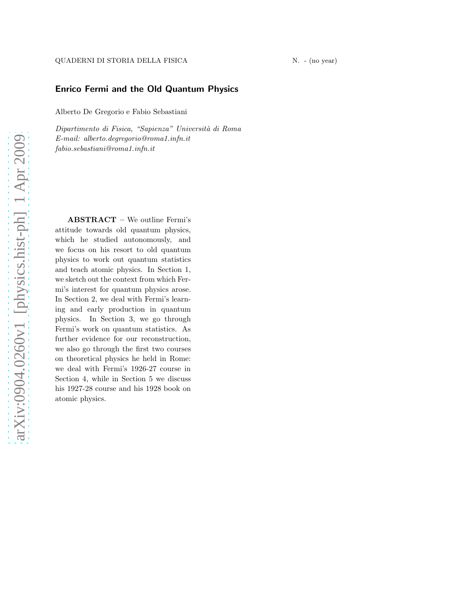# Enrico Fermi and the Old Quantum Physics

Alberto De Gregorio e Fabio Sebastiani

Dipartimento di Fisica, "Sapienza" Universit`a di Roma E-mail: alberto.degregorio@roma1.infn.it fabio.sebastiani@roma1.infn.it

ABSTRACT – We outline Fermi's attitude towards old quantum physics, which he studied autonomously, and we focus on his resort to old quantum physics to work out quantum statistics and teach atomic physics. In Section 1, we sketch out the context from which Fermi's interest for quantum physics arose. In Section 2, we deal with Fermi's learning and early production in quantum physics. In Section 3, we go through Fermi's work on quantum statistics. As further evidence for our reconstruction, we also go through the first two courses on theoretical physics he held in Rome: we deal with Fermi's 1926-27 course in Section 4, while in Section 5 we discuss his 1927-28 course and his 1928 book on atomic physics.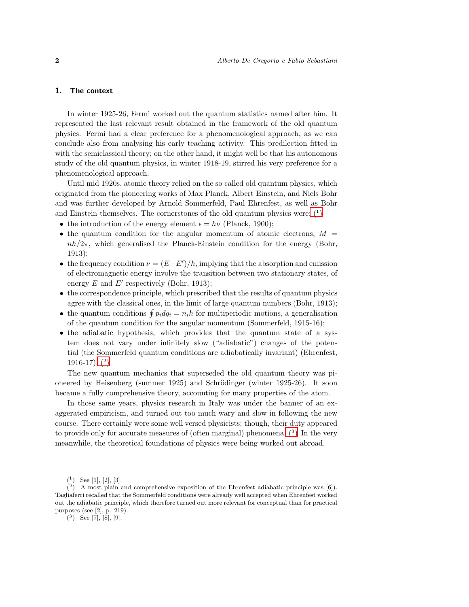#### 1. The context

In winter 1925-26, Fermi worked out the quantum statistics named after him. It represented the last relevant result obtained in the framework of the old quantum physics. Fermi had a clear preference for a phenomenological approach, as we can conclude also from analysing his early teaching activity. This predilection fitted in with the semiclassical theory; on the other hand, it might well be that his autonomous study of the old quantum physics, in winter 1918-19, stirred his very preference for a phenomenological approach.

Until mid 1920s, atomic theory relied on the so called old quantum physics, which originated from the pioneering works of Max Planck, Albert Einstein, and Niels Bohr and was further developed by Arnold Sommerfeld, Paul Ehrenfest, as well as Bohr and Einstein themselves. The cornerstones of the old quantum physics were:  $(1)$ 

- the introduction of the energy element  $\epsilon = h\nu$  (Planck, 1900);
- the quantum condition for the angular momentum of atomic electrons,  $M =$  $nh/2\pi$ , which generalised the Planck-Einstein condition for the energy (Bohr, 1913);
- the frequency condition  $\nu = (E E')/h$ , implying that the absorption and emission of electromagnetic energy involve the transition between two stationary states, of energy  $E$  and  $E'$  respectively (Bohr, 1913);
- the correspondence principle, which prescribed that the results of quantum physics agree with the classical ones, in the limit of large quantum numbers (Bohr, 1913);
- the quantum conditions  $\oint p_i dq_i = n_i h$  for multiperiodic motions, a generalisation of the quantum condition for the angular momentum (Sommerfeld, 1915-16);
- the adiabatic hypothesis, which provides that the quantum state of a system does not vary under infinitely slow ("adiabatic") changes of the potential (the Sommerfeld quantum conditions are adiabatically invariant) (Ehrenfest, 1916-17).  $(2)$

The new quantum mechanics that superseded the old quantum theory was pioneered by Heisenberg (summer 1925) and Schrödinger (winter 1925-26). It soon became a fully comprehensive theory, accounting for many properties of the atom.

In those same years, physics research in Italy was under the banner of an exaggerated empiricism, and turned out too much wary and slow in following the new course. There certainly were some well versed physicists; though, their duty appeared to provide only for accurate measures of (often marginal) phenomena[. \(](#page-1-2)3) In the very meanwhile, the theoretical foundations of physics were being worked out abroad.

<span id="page-1-2"></span> $(3)$  See [7], [8], [9].

<span id="page-1-1"></span><span id="page-1-0"></span> $(1)$  See [1], [2], [3].

 $(2)$  A most plain and comprehensive exposition of the Ehrenfest adiabatic principle was [6]). Tagliaferri recalled that the Sommerfeld conditions were already well accepted when Ehrenfest worked out the adiabatic principle, which therefore turned out more relevant for conceptual than for practical purposes (see [2], p. 219).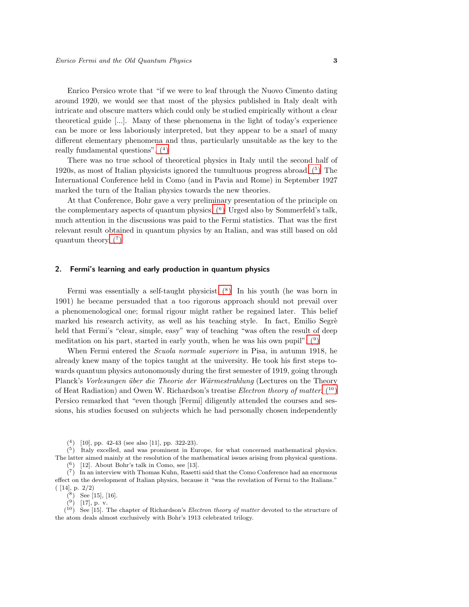Enrico Persico wrote that "if we were to leaf through the Nuovo Cimento dating around 1920, we would see that most of the physics published in Italy dealt with intricate and obscure matters which could only be studied empirically without a clear theoretical guide [...]. Many of these phenomena in the light of today's experience can be more or less laboriously interpreted, but they appear to be a snarl of many different elementary phenomena and thus, particularly unsuitable as the key to the really fundamental questions"[. \(](#page-2-0)4)

There was no true school of theoretical physics in Italy until the second half of 1920s, as most of Italian physicists ignored the tumultuous progress abroad[. \(](#page-2-1)5) The International Conference held in Como (and in Pavia and Rome) in September 1927 marked the turn of the Italian physics towards the new theories.

At that Conference, Bohr gave a very preliminary presentation of the principle on the complementary aspects of quantum physics.  $(6)$  Urged also by Sommerfeld's talk, much attention in the discussions was paid to the Fermi statistics. That was the first relevant result obtained in quantum physics by an Italian, and was still based on old quantum theory.  $(7)$ 

## 2. Fermi's learning and early production in quantum physics

Fermi was essentially a self-taught physicist.  $(8)$  In his youth (he was born in 1901) he became persuaded that a too rigorous approach should not prevail over a phenomenological one; formal rigour might rather be regained later. This belief marked his research activity, as well as his teaching style. In fact, Emilio Segrè held that Fermi's "clear, simple, easy" way of teaching "was often the result of deep meditation on his part, started in early youth, when he was his own pupil".  $(9)$ 

When Fermi entered the *Scuola normale superiore* in Pisa, in autumn 1918, he already knew many of the topics taught at the university. He took his first steps towards quantum physics autonomously during the first semester of 1919, going through Planck's Vorlesungen über die Theorie der Wärmestrahlung (Lectures on the Theory of Heat Radiation) and Owen W. Richardson's treatise *Electron theory of matter*.  $(10)$ Persico remarked that "even though [Fermi] diligently attended the courses and sessions, his studies focused on subjects which he had personally chosen independently

<span id="page-2-0"></span>( 4 ) [10], pp. 42-43 (see also [11], pp. 322-23).

 $(5)$  Italy excelled, and was prominent in Europe, for what concerned mathematical physics. The latter aimed mainly at the resolution of the mathematical issues arising from physical questions.  $(6)$  [12]. About Bohr's talk in Como, see [13].

<span id="page-2-3"></span><span id="page-2-2"></span><span id="page-2-1"></span> $\binom{7}{1}$  In an interview with Thomas Kuhn, Rasetti said that the Como Conference had an enormous

effect on the development of Italian physics, because it "was the revelation of Fermi to the Italians." ( [14], p. 2/2)

 $(8)$  See [15], [16].

<span id="page-2-6"></span><span id="page-2-5"></span><span id="page-2-4"></span> $(9)$  [17], p. v.

 $\binom{10}{1}$  See [15]. The chapter of Richardson's *Electron theory of matter* devoted to the structure of the atom deals almost exclusively with Bohr's 1913 celebrated trilogy.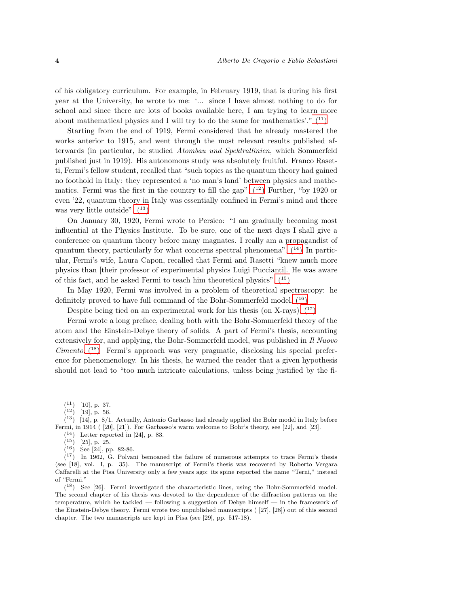of his obligatory curriculum. For example, in February 1919, that is during his first year at the University, he wrote to me: '... since I have almost nothing to do for school and since there are lots of books available here, I am trying to learn more about mathematical physics and I will try to do the same for mathematics'."  $(11)$ 

Starting from the end of 1919, Fermi considered that he already mastered the works anterior to 1915, and went through the most relevant results published afterwards (in particular, he studied Atombau und Spektrallinien, which Sommerfeld published just in 1919). His autonomous study was absolutely fruitful. Franco Rasetti, Fermi's fellow student, recalled that "such topics as the quantum theory had gained no foothold in Italy: they represented a 'no man's land' between physics and mathematics. Fermi was the first in the country to fill the gap".  $(1^2)$  Further, "by 1920 or even '22, quantum theory in Italy was essentially confined in Fermi's mind and there was very little outside".  $(13)$ 

On January 30, 1920, Fermi wrote to Persico: "I am gradually becoming most influential at the Physics Institute. To be sure, one of the next days I shall give a conference on quantum theory before many magnates. I really am a propagandist of quantum theory, particularly for what concerns spectral phenomena".  $(14)$  In particular, Fermi's wife, Laura Capon, recalled that Fermi and Rasetti "knew much more physics than [their professor of experimental physics Luigi Puccianti]. He was aware of this fact, and he asked Fermi to teach him theoretical physics".  $(15)$ 

In May 1920, Fermi was involved in a problem of theoretical spectroscopy: he definitely proved to have full command of the Bohr-Sommerfeld model[. \(](#page-3-5)<sup>16</sup>)

Despite being tied on an experimental work for his thesis (on X-rays),  $(17)$ 

Fermi wrote a long preface, dealing both with the Bohr-Sommerfeld theory of the atom and the Einstein-Debye theory of solids. A part of Fermi's thesis, accounting extensively for, and applying, the Bohr-Sommerfeld model, was published in Il Nuovo Cimento[. \(](#page-3-7)<sup>18</sup>) Fermi's approach was very pragmatic, disclosing his special preference for phenomenology. In his thesis, he warned the reader that a given hypothesis should not lead to "too much intricate calculations, unless being justified by the fi-

 $(11)$  [10], p. 37.

<span id="page-3-1"></span><span id="page-3-0"></span> $(12)$  [19], p. 56.

 $(13)$  [14], p. 8/1. Actually, Antonio Garbasso had already applied the Bohr model in Italy before Fermi, in 1914 ( [20], [21]). For Garbasso's warm welcome to Bohr's theory, see [22], and [23].

<span id="page-3-2"></span> $(14)$  Letter reported in [24], p. 83.

<span id="page-3-3"></span> $(15)$  [25], p. 25.

<span id="page-3-6"></span><span id="page-3-5"></span><span id="page-3-4"></span> $(16)$  See [24], pp. 82-86.

 $(17)$  In 1962, G. Polvani bemoaned the failure of numerous attempts to trace Fermi's thesis (see [18], vol. I, p. 35). The manuscript of Fermi's thesis was recovered by Roberto Vergara Caffarelli at the Pisa University only a few years ago: its spine reported the name "Terni," instead of "Fermi."

<span id="page-3-7"></span>( <sup>18</sup>) See [26]. Fermi investigated the characteristic lines, using the Bohr-Sommerfeld model. The second chapter of his thesis was devoted to the dependence of the diffraction patterns on the temperature, which he tackled — following a suggestion of Debye himself — in the framework of the Einstein-Debye theory. Fermi wrote two unpublished manuscripts ( [27], [28]) out of this second chapter. The two manuscripts are kept in Pisa (see [29], pp. 517-18).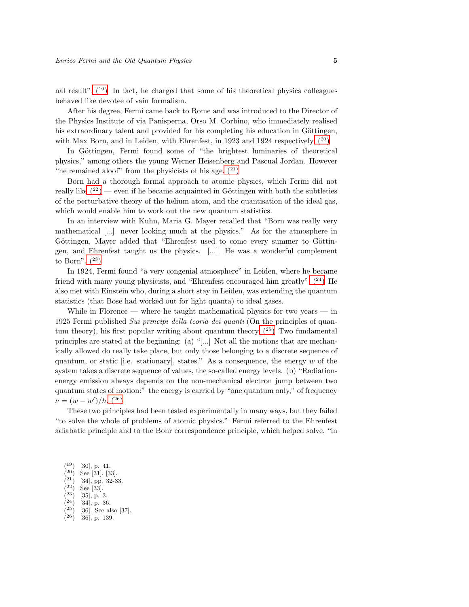nal result".  $(19)$  In fact, he charged that some of his theoretical physics colleagues behaved like devotee of vain formalism.

After his degree, Fermi came back to Rome and was introduced to the Director of the Physics Institute of via Panisperna, Orso M. Corbino, who immediately realised his extraordinary talent and provided for his completing his education in Göttingen, with Max Born, and in Leiden, with Ehrenfest, in 1923 and 1924 respectively.  $(20)$ 

In Göttingen, Fermi found some of "the brightest luminaries of theoretical physics," among others the young Werner Heisenberg and Pascual Jordan. However "he remained aloof" from the physicists of his age.  $(21)$ 

Born had a thorough formal approach to atomic physics, which Fermi did not really like  $(2^2)$  — even if he became acquainted in Göttingen with both the subtleties of the perturbative theory of the helium atom, and the quantisation of the ideal gas, which would enable him to work out the new quantum statistics.

In an interview with Kuhn, Maria G. Mayer recalled that "Born was really very mathematical [...] never looking much at the physics." As for the atmosphere in Göttingen, Mayer added that "Ehrenfest used to come every summer to Göttingen, and Ehrenfest taught us the physics. [...] He was a wonderful complement to Born".  $(23)$ 

In 1924, Fermi found "a very congenial atmosphere" in Leiden, where he became friend with many young physicists, and "Ehrenfest encouraged him greatly".  $(24)$  He also met with Einstein who, during a short stay in Leiden, was extending the quantum statistics (that Bose had worked out for light quanta) to ideal gases.

While in Florence — where he taught mathematical physics for two years — in 1925 Fermi published Sui principi della teoria dei quanti (On the principles of quantum theory), his first popular writing about quantum theory.  $(^{25})$  Two fundamental principles are stated at the beginning: (a) "[...] Not all the motions that are mechanically allowed do really take place, but only those belonging to a discrete sequence of quantum, or static [i.e. stationary], states." As a consequence, the energy  $w$  of the system takes a discrete sequence of values, the so-called energy levels. (b) "Radiationenergy emission always depends on the non-mechanical electron jump between two quantum states of motion:" the energy is carried by "one quantum only," of frequency  $\nu = (w - w')/h.$  (<sup>26</sup>)

These two principles had been tested experimentally in many ways, but they failed "to solve the whole of problems of atomic physics." Fermi referred to the Ehrenfest adiabatic principle and to the Bohr correspondence principle, which helped solve, "in

- <span id="page-4-2"></span> $(22)$  See [33].  $\lambda^{23}$
- <span id="page-4-3"></span> $[35]$ , p. 3.  $(24)$
- <span id="page-4-4"></span><sup>24</sup>) [34], p. 36.  $\lambda$ 25 $\lambda$
- <span id="page-4-5"></span>[36]. See also [37].  $(26)$
- <span id="page-4-7"></span><span id="page-4-6"></span>[36], p. 139.

 $(19)$ [30], p. 41.

<span id="page-4-0"></span> $(20)$ See [31], [33].  $\lambda^{21}$ 

<span id="page-4-1"></span><sup>[34],</sup> pp. 32-33.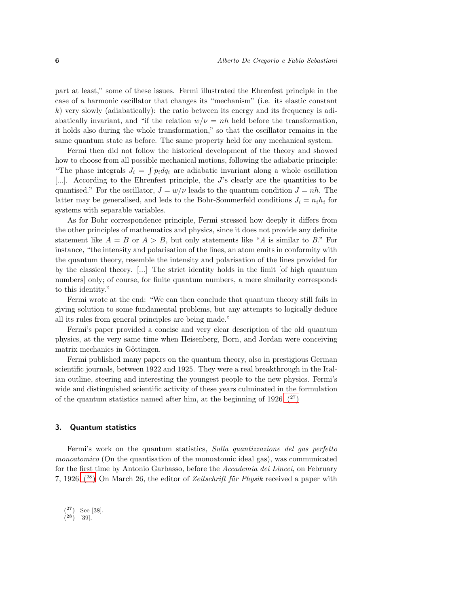part at least," some of these issues. Fermi illustrated the Ehrenfest principle in the case of a harmonic oscillator that changes its "mechanism" (i.e. its elastic constant  $k$ ) very slowly (adiabatically): the ratio between its energy and its frequency is adiabatically invariant, and "if the relation  $w/v = nh$  held before the transformation, it holds also during the whole transformation," so that the oscillator remains in the same quantum state as before. The same property held for any mechanical system.

Fermi then did not follow the historical development of the theory and showed how to choose from all possible mechanical motions, following the adiabatic principle: "The phase integrals  $J_i = \int p_i dq_i$  are adiabatic invariant along a whole oscillation [...]. According to the Ehrenfest principle, the J's clearly are the quantities to be quantised." For the oscillator,  $J = w/v$  leads to the quantum condition  $J = nh$ . The latter may be generalised, and leds to the Bohr-Sommerfeld conditions  $J_i = n_i h_i$  for systems with separable variables.

As for Bohr correspondence principle, Fermi stressed how deeply it differs from the other principles of mathematics and physics, since it does not provide any definite statement like  $A = B$  or  $A > B$ , but only statements like "A is similar to B." For instance, "the intensity and polarisation of the lines, an atom emits in conformity with the quantum theory, resemble the intensity and polarisation of the lines provided for by the classical theory. [...] The strict identity holds in the limit [of high quantum numbers] only; of course, for finite quantum numbers, a mere similarity corresponds to this identity."

Fermi wrote at the end: "We can then conclude that quantum theory still fails in giving solution to some fundamental problems, but any attempts to logically deduce all its rules from general principles are being made."

Fermi's paper provided a concise and very clear description of the old quantum physics, at the very same time when Heisenberg, Born, and Jordan were conceiving matrix mechanics in Göttingen.

Fermi published many papers on the quantum theory, also in prestigious German scientific journals, between 1922 and 1925. They were a real breakthrough in the Italian outline, steering and interesting the youngest people to the new physics. Fermi's wide and distinguished scientific activity of these years culminated in the formulation of the quantum statistics named after him, at the beginning of 1926.  $(27)$ 

### 3. Quantum statistics

Fermi's work on the quantum statistics, Sulla quantizzazione del gas perfetto monoatomico (On the quantisation of the monoatomic ideal gas), was communicated for the first time by Antonio Garbasso, before the Accademia dei Lincei, on February 7, 1926.  $(^{28})$  On March 26, the editor of *Zeitschrift für Physik* received a paper with

 $(27)$  See [38].

<span id="page-5-1"></span><span id="page-5-0"></span> $(28)$  [39].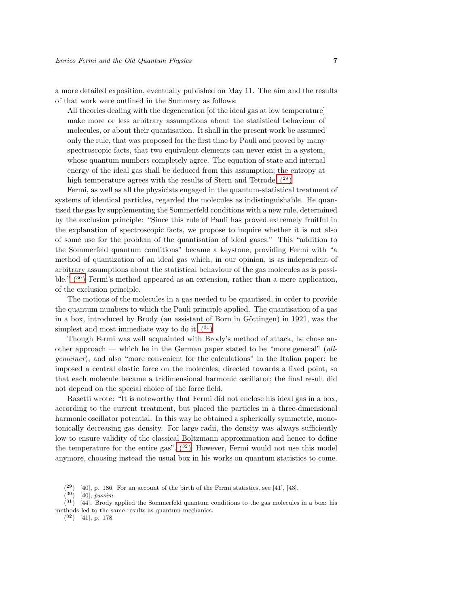a more detailed exposition, eventually published on May 11. The aim and the results of that work were outlined in the Summary as follows:

All theories dealing with the degeneration [of the ideal gas at low temperature] make more or less arbitrary assumptions about the statistical behaviour of molecules, or about their quantisation. It shall in the present work be assumed only the rule, that was proposed for the first time by Pauli and proved by many spectroscopic facts, that two equivalent elements can never exist in a system, whose quantum numbers completely agree. The equation of state and internal energy of the ideal gas shall be deduced from this assumption; the entropy at high temperature agrees with the results of Stern and Tetrode.  $(29)$ 

Fermi, as well as all the physicists engaged in the quantum-statistical treatment of systems of identical particles, regarded the molecules as indistinguishable. He quantised the gas by supplementing the Sommerfeld conditions with a new rule, determined by the exclusion principle: "Since this rule of Pauli has proved extremely fruitful in the explanation of spectroscopic facts, we propose to inquire whether it is not also of some use for the problem of the quantisation of ideal gases." This "addition to the Sommerfeld quantum conditions" became a keystone, providing Fermi with "a method of quantization of an ideal gas which, in our opinion, is as independent of arbitrary assumptions about the statistical behaviour of the gas molecules as is possible.[" \(](#page-6-1)<sup>30</sup>) Fermi's method appeared as an extension, rather than a mere application, of the exclusion principle.

The motions of the molecules in a gas needed to be quantised, in order to provide the quantum numbers to which the Pauli principle applied. The quantisation of a gas in a box, introduced by Brody (an assistant of Born in Göttingen) in  $1921$ , was the simplest and most immediate way to do it.  $(31)$ 

Though Fermi was well acquainted with Brody's method of attack, he chose another approach — which he in the German paper stated to be "more general" (allgemeiner), and also "more convenient for the calculations" in the Italian paper: he imposed a central elastic force on the molecules, directed towards a fixed point, so that each molecule became a tridimensional harmonic oscillator; the final result did not depend on the special choice of the force field.

Rasetti wrote: "It is noteworthy that Fermi did not enclose his ideal gas in a box, according to the current treatment, but placed the particles in a three-dimensional harmonic oscillator potential. In this way he obtained a spherically symmetric, monotonically decreasing gas density. For large radii, the density was always sufficiently low to ensure validity of the classical Boltzmann approximation and hence to define the temperature for the entire gas".  $(32)$  However, Fermi would not use this model anymore, choosing instead the usual box in his works on quantum statistics to come.

<span id="page-6-3"></span><span id="page-6-2"></span> $(32)$  [41], p. 178.

 $(29)$  [40], p. 186. For an account of the birth of the Fermi statistics, see [41], [43].

<span id="page-6-1"></span><span id="page-6-0"></span> $(30)$  [40], *passim.* 

 $(31)$  [44]. Brody applied the Sommerfeld quantum conditions to the gas molecules in a box: his methods led to the same results as quantum mechanics.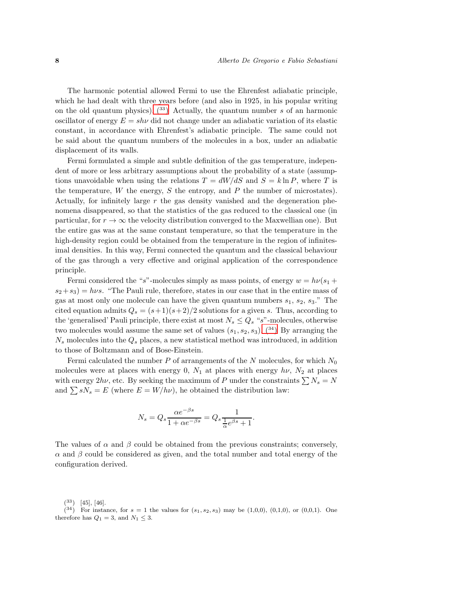The harmonic potential allowed Fermi to use the Ehrenfest adiabatic principle, which he had dealt with three years before (and also in 1925, in his popular writing on the old quantum physics).  $(33)$  Actually, the quantum number s of an harmonic oscillator of energy  $E = sh\nu$  did not change under an adiabatic variation of its elastic constant, in accordance with Ehrenfest's adiabatic principle. The same could not be said about the quantum numbers of the molecules in a box, under an adiabatic displacement of its walls.

Fermi formulated a simple and subtle definition of the gas temperature, independent of more or less arbitrary assumptions about the probability of a state (assumptions unavoidable when using the relations  $T = dW/dS$  and  $S = k \ln P$ , where T is the temperature,  $W$  the energy,  $S$  the entropy, and  $P$  the number of microstates). Actually, for infinitely large r the gas density vanished and the degeneration phenomena disappeared, so that the statistics of the gas reduced to the classical one (in particular, for  $r \to \infty$  the velocity distribution converged to the Maxwellian one). But the entire gas was at the same constant temperature, so that the temperature in the high-density region could be obtained from the temperature in the region of infinitesimal densities. In this way, Fermi connected the quantum and the classical behaviour of the gas through a very effective and original application of the correspondence principle.

Fermi considered the "s"-molecules simply as mass points, of energy  $w = h\nu(s_1 +$  $s_2+s_3$  = hvs. "The Pauli rule, therefore, states in our case that in the entire mass of gas at most only one molecule can have the given quantum numbers  $s_1$ ,  $s_2$ ,  $s_3$ ." The cited equation admits  $Q_s = (s+1)(s+2)/2$  solutions for a given s. Thus, according to the 'generalised' Pauli principle, there exist at most  $N_s \leq Q_s$  "s"-molecules, otherwise two molecules would assume the same set of values  $(s_1, s_2, s_3)$ [. \(](#page-7-1)<sup>34</sup>) By arranging the  $N_s$  molecules into the  $Q_s$  places, a new statistical method was introduced, in addition to those of Boltzmann and of Bose-Einstein.

Fermi calculated the number P of arrangements of the N molecules, for which  $N_0$ molecules were at places with energy 0,  $N_1$  at places with energy  $h\nu$ ,  $N_2$  at places with energy  $2h\nu$ , etc. By seeking the maximum of P under the constraints  $\sum N_s = N$ and  $\sum sN_s = E$  (where  $E = W/h\nu$ ), he obtained the distribution law:

$$
N_s = Q_s \frac{\alpha e^{-\beta s}}{1 + \alpha e^{-\beta s}} = Q_s \frac{1}{\frac{1}{\alpha} e^{\beta s} + 1}.
$$

The values of  $\alpha$  and  $\beta$  could be obtained from the previous constraints; conversely,  $\alpha$  and  $\beta$  could be considered as given, and the total number and total energy of the configuration derived.

<span id="page-7-1"></span><span id="page-7-0"></span> $(33)$  [45], [46].

 $(34)$  For instance, for  $s = 1$  the values for  $(s_1, s_2, s_3)$  may be  $(1,0,0)$ ,  $(0,1,0)$ , or  $(0,0,1)$ . One therefore has  $Q_1 = 3$ , and  $N_1 \leq 3$ .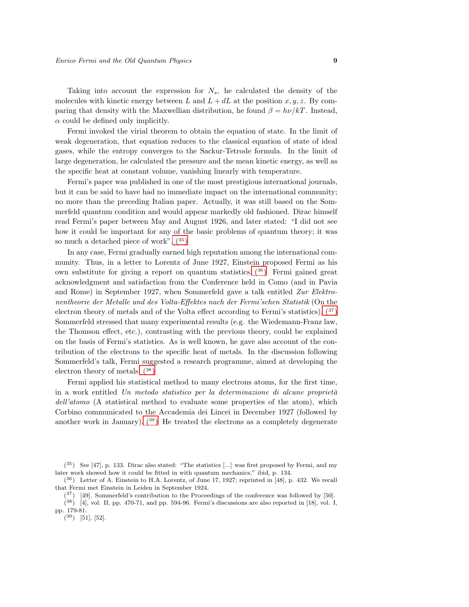Taking into account the expression for  $N_s$ , he calculated the density of the molecules with kinetic energy between L and  $L + dL$  at the position  $x, y, z$ . By comparing that density with the Maxwellian distribution, he found  $\beta = h\nu/kT$ . Instead,  $\alpha$  could be defined only implicitly.

Fermi invoked the virial theorem to obtain the equation of state. In the limit of weak degeneration, that equation reduces to the classical equation of state of ideal gases, while the entropy converges to the Sackur-Tetrode formula. In the limit of large degeneration, he calculated the pressure and the mean kinetic energy, as well as the specific heat at constant volume, vanishing linearly with temperature.

Fermi's paper was published in one of the most prestigious international journals, but it can be said to have had no immediate impact on the international community; no more than the preceding Italian paper. Actually, it was still based on the Sommerfeld quantum condition and would appear markedly old fashioned. Dirac himself read Fermi's paper between May and August 1926, and later stated: "I did not see how it could be important for any of the basic problems of quantum theory; it was so much a detached piece of work".  $(35)$ 

In any case, Fermi gradually earned high reputation among the international community. Thus, in a letter to Lorentz of June 1927, Einstein proposed Fermi as his own substitute for giving a report on quantum statistics.  $(36)$  Fermi gained great acknowledgment and satisfaction from the Conference held in Como (and in Pavia and Rome) in September 1927, when Sommerfeld gave a talk entitled Zur Elektronentheorie der Metalle und des Volta-Effektes nach der Fermi'schen Statistik (On the electron theory of metals and of the Volta effect according to Fermi's statistics).  $(37)$ Sommerfeld stressed that many experimental results (e.g. the Wiedemann-Franz law, the Thomson effect, etc.), contrasting with the previous theory, could be explained on the basis of Fermi's statistics. As is well known, he gave also account of the contribution of the electrons to the specific heat of metals. In the discussion following Sommerfeld's talk, Fermi suggested a research programme, aimed at developing the electron theory of metals.  $(38)$ 

Fermi applied his statistical method to many electrons atoms, for the first time, in a work entitled Un metodo statistico per la determinazione di alcune proprietà dell'atomo (A statistical method to evaluate some properties of the atom), which Corbino communicated to the Accademia dei Lincei in December 1927 (followed by another work in January).  $(39)$  He treated the electrons as a completely degenerate

<span id="page-8-3"></span><span id="page-8-2"></span><span id="page-8-1"></span> $(37)$  [49]. Sommerfeld's contribution to the Proceedings of the conference was followed by [50].

<sup>(</sup> <sup>35</sup>) See [47], p. 133. Dirac also stated: "The statistics [...] was first proposed by Fermi, and my later work showed how it could be fitted in with quantum mechanics," ibid, p. 134.

<span id="page-8-0"></span><sup>(</sup> <sup>36</sup>) Letter of A. Einstein to H.A. Lorentz, of June 17, 1927; reprinted in [48], p. 432. We recall that Fermi met Einstein in Leiden in September 1924.

<span id="page-8-4"></span> $(38)$  [4], vol. II, pp. 470-71, and pp. 594-96. Fermi's discussions are also reported in [18], vol. I, pp. 179-81.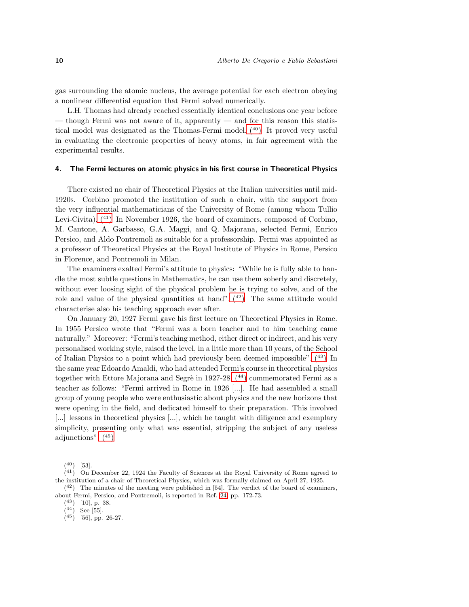gas surrounding the atomic nucleus, the average potential for each electron obeying a nonlinear differential equation that Fermi solved numerically.

L.H. Thomas had already reached essentially identical conclusions one year before — though Fermi was not aware of it, apparently — and for this reason this statis-tical model was designated as the Thomas-Fermi model[. \(](#page-9-0)40) It proved very useful in evaluating the electronic properties of heavy atoms, in fair agreement with the experimental results.

#### 4. The Fermi lectures on atomic physics in his first course in Theoretical Physics

There existed no chair of Theoretical Physics at the Italian universities until mid-1920s. Corbino promoted the institution of such a chair, with the support from the very influential mathematicians of the University of Rome (among whom Tullio Levi-Civita)[. \(](#page-9-1)<sup>41</sup>) In November 1926, the board of examiners, composed of Corbino, M. Cantone, A. Garbasso, G.A. Maggi, and Q. Majorana, selected Fermi, Enrico Persico, and Aldo Pontremoli as suitable for a professorship. Fermi was appointed as a professor of Theoretical Physics at the Royal Institute of Physics in Rome, Persico in Florence, and Pontremoli in Milan.

The examiners exalted Fermi's attitude to physics: "While he is fully able to handle the most subtle questions in Mathematics, he can use them soberly and discretely, without ever loosing sight of the physical problem he is trying to solve, and of the role and value of the physical quantities at hand"[. \(](#page-9-2)42) The same attitude would characterise also his teaching approach ever after.

On January 20, 1927 Fermi gave his first lecture on Theoretical Physics in Rome. In 1955 Persico wrote that "Fermi was a born teacher and to him teaching came naturally." Moreover: "Fermi's teaching method, either direct or indirect, and his very personalised working style, raised the level, in a little more than 10 years, of the School of Italian Physics to a point which had previously been deemed impossible"[. \(](#page-9-3)<sup>43</sup>) In the same year Edoardo Amaldi, who had attended Fermi's course in theoretical physics together with Ettore Majorana and Segrè in 1927-28,  $(44)$  commemorated Fermi as a teacher as follows: "Fermi arrived in Rome in 1926 [...]. He had assembled a small group of young people who were enthusiastic about physics and the new horizons that were opening in the field, and dedicated himself to their preparation. This involved [...] lessons in theoretical physics [...], which he taught with diligence and exemplary simplicity, presenting only what was essential, stripping the subject of any useless adjunctions"[. \(](#page-9-5)<sup>45</sup>)

<span id="page-9-1"></span><span id="page-9-0"></span> $(40)$  [53].

 $(41)$  On December 22, 1924 the Faculty of Sciences at the Royal University of Rome agreed to the institution of a chair of Theoretical Physics, which was formally claimed on April 27, 1925.

<sup>(</sup> <sup>42</sup>) The minutes of the meeting were published in [54]. The verdict of the board of examiners, about Fermi, Persico, and Pontremoli, is reported in Ref. [24,](#page-19-0) pp. 172-73.

<span id="page-9-2"></span><sup>(</sup> <sup>43</sup>) [10], p. 38.  $(44)$  See [55].

<span id="page-9-4"></span><span id="page-9-3"></span>

<span id="page-9-5"></span> $(45)$  [56], pp. 26-27.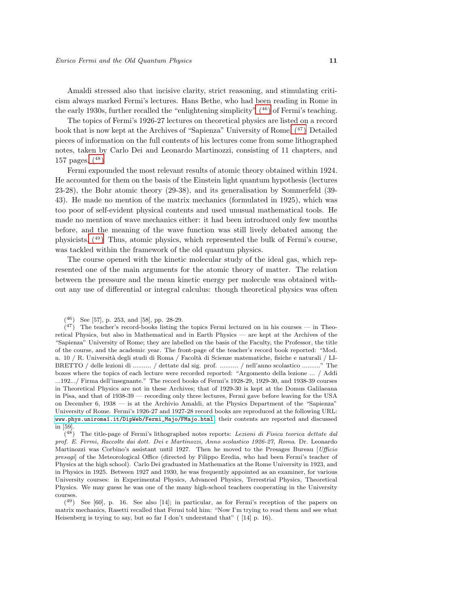Amaldi stressed also that incisive clarity, strict reasoning, and stimulating criticism always marked Fermi's lectures. Hans Bethe, who had been reading in Rome in the early 1930s, further recalled the "enlightening simplicity"  $(46)$  of Fermi's teaching.

The topics of Fermi's 1926-27 lectures on theoretical physics are listed on a record book that is now kept at the Archives of "Sapienza" University of Rome[. \(](#page-10-1)<sup>47</sup>) Detailed pieces of information on the full contents of his lectures come from some lithographed notes, taken by Carlo Dei and Leonardo Martinozzi, consisting of 11 chapters, and 157 pages[. \(](#page-10-2)<sup>48</sup>)

Fermi expounded the most relevant results of atomic theory obtained within 1924. He accounted for them on the basis of the Einstein light quantum hypothesis (lectures 23-28), the Bohr atomic theory (29-38), and its generalisation by Sommerfeld (39- 43). He made no mention of the matrix mechanics (formulated in 1925), which was too poor of self-evident physical contents and used unusual mathematical tools. He made no mention of wave mechanics either: it had been introduced only few months before, and the meaning of the wave function was still lively debated among the physicists[. \(](#page-10-3)<sup>49</sup>) Thus, atomic physics, which represented the bulk of Fermi's course, was tackled within the framework of the old quantum physics.

The course opened with the kinetic molecular study of the ideal gas, which represented one of the main arguments for the atomic theory of matter. The relation between the pressure and the mean kinetic energy per molecule was obtained without any use of differential or integral calculus: though theoretical physics was often

<span id="page-10-1"></span><span id="page-10-0"></span><sup>(</sup> <sup>46</sup>) See [57], p. 253, and [58], pp. 28-29.

 $(47)$  The teacher's record-books listing the topics Fermi lectured on in his courses — in Theoretical Physics, but also in Mathematical and in Earth Physics — are kept at the Archives of the "Sapienza" University of Rome; they are labelled on the basis of the Faculty, the Professor, the title of the course, and the academic year. The front-page of the teacher's record book reported: "Mod. n. 10 / R. Universit`a degli studi di Roma / Facolt`a di Scienze matematiche, fisiche e naturali / LI-BRETTO / delle lezioni di .......... / dettate dal sig. prof. .......... / nell'anno scolastico .........." The boxes where the topics of each lecture were recorded reported: "Argomento della lezione ... / Addi ...192.../ Firma dell'insegnante." The record books of Fermi's 1928-29, 1929-30, and 1938-39 courses in Theoretical Physics are not in these Archives; that of 1929-30 is kept at the Domus Galilaeana in Pisa, and that of 1938-39 — recording only three lectures, Fermi gave before leaving for the USA on December 6, 1938 — is at the Archivio Amaldi, at the Physics Department of the "Sapienza" University of Rome. Fermi's 1926-27 and 1927-28 record books are reproduced at the following URL: [www.phys.uniroma1.it/DipWeb/Fermi\\_Majo/FMajo.html](www.phys.uniroma1.it/DipWeb/Fermi_Majo/FMajo.html); their contents are reported and discussed in [59].

<span id="page-10-2"></span> $(48)$  The title-page of Fermi's lithographed notes reports: Lezioni di Fisica teorica dettate dal prof. E. Fermi, Raccolte dai dott. Dei e Martinozzi, Anno scolastico 1926-27, Roma. Dr. Leonardo Martinozzi was Corbino's assistant until 1927. Then he moved to the Presages Bureau [Ufficio] presagi] of the Meteorological Office (directed by Filippo Eredia, who had been Fermi's teacher of Physics at the high school). Carlo Dei graduated in Mathematics at the Rome University in 1923, and in Physics in 1925. Between 1927 and 1930, he was frequently appointed as an examiner, for various University courses: in Experimental Physics, Advanced Physics, Terrestrial Physics, Theoretical Physics. We may guess he was one of the many high-school teachers cooperating in the University courses.

<span id="page-10-3"></span><sup>(</sup> <sup>49</sup>) See [60], p. 16. See also [14]; in particular, as for Fermi's reception of the papers on matrix mechanics, Rasetti recalled that Fermi told him: "Now I'm trying to read them and see what Heisenberg is trying to say, but so far I don't understand that" ( [14] p. 16).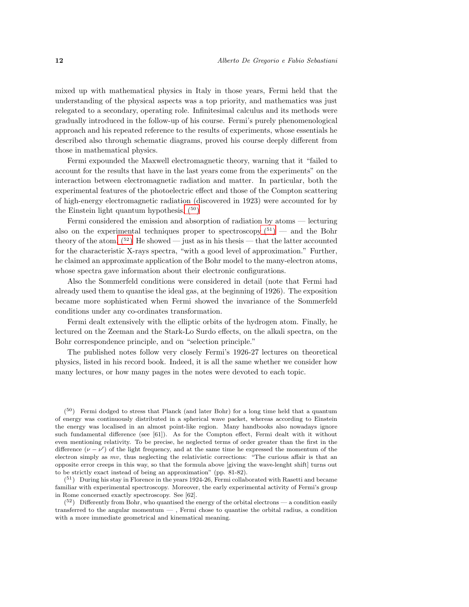mixed up with mathematical physics in Italy in those years, Fermi held that the understanding of the physical aspects was a top priority, and mathematics was just relegated to a secondary, operating role. Infinitesimal calculus and its methods were gradually introduced in the follow-up of his course. Fermi's purely phenomenological approach and his repeated reference to the results of experiments, whose essentials he described also through schematic diagrams, proved his course deeply different from those in mathematical physics.

Fermi expounded the Maxwell electromagnetic theory, warning that it "failed to account for the results that have in the last years come from the experiments" on the interaction between electromagnetic radiation and matter. In particular, both the experimental features of the photoelectric effect and those of the Compton scattering of high-energy electromagnetic radiation (discovered in 1923) were accounted for by the Einstein light quantum hypothesis.  $(50)$ 

Fermi considered the emission and absorption of radiation by atoms — lecturing also on the experimental techniques proper to spectroscopy  $(51)$  — and the Bohr theory of the atom.  $(5^2)$  He showed — just as in his thesis — that the latter accounted for the characteristic X-rays spectra, "with a good level of approximation." Further, he claimed an approximate application of the Bohr model to the many-electron atoms, whose spectra gave information about their electronic configurations.

Also the Sommerfeld conditions were considered in detail (note that Fermi had already used them to quantise the ideal gas, at the beginning of 1926). The exposition became more sophisticated when Fermi showed the invariance of the Sommerfeld conditions under any co-ordinates transformation.

Fermi dealt extensively with the elliptic orbits of the hydrogen atom. Finally, he lectured on the Zeeman and the Stark-Lo Surdo effects, on the alkali spectra, on the Bohr correspondence principle, and on "selection principle."

The published notes follow very closely Fermi's 1926-27 lectures on theoretical physics, listed in his record book. Indeed, it is all the same whether we consider how many lectures, or how many pages in the notes were devoted to each topic.

<span id="page-11-0"></span>( <sup>50</sup>) Fermi dodged to stress that Planck (and later Bohr) for a long time held that a quantum of energy was continuously distributed in a spherical wave packet, whereas according to Einstein the energy was localised in an almost point-like region. Many handbooks also nowadays ignore such fundamental difference (see [61]). As for the Compton effect, Fermi dealt with it without even mentioning relativity. To be precise, he neglected terms of order greater than the first in the difference  $(\nu - \nu')$  of the light frequency, and at the same time he expressed the momentum of the electron simply as mv, thus neglecting the relativistic corrections: "The curious affair is that an opposite error creeps in this way, so that the formula above [giving the wave-lenght shift] turns out to be strictly exact instead of being an approximation" (pp. 81-82).

<span id="page-11-1"></span>( <sup>51</sup>) During his stay in Florence in the years 1924-26, Fermi collaborated with Rasetti and became familiar with experimental spectroscopy. Moreover, the early experimental activity of Fermi's group in Rome concerned exactly spectroscopy. See [62].

<span id="page-11-2"></span> $(5^2)$  Differently from Bohr, who quantised the energy of the orbital electrons — a condition easily transferred to the angular momentum — , Fermi chose to quantise the orbital radius, a condition with a more immediate geometrical and kinematical meaning.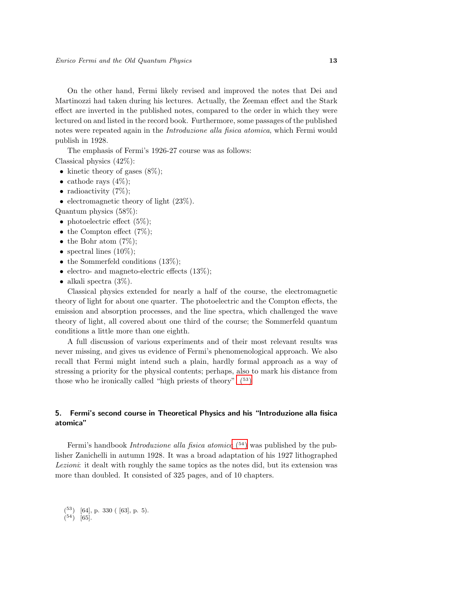On the other hand, Fermi likely revised and improved the notes that Dei and Martinozzi had taken during his lectures. Actually, the Zeeman effect and the Stark effect are inverted in the published notes, compared to the order in which they were lectured on and listed in the record book. Furthermore, some passages of the published notes were repeated again in the Introduzione alla fisica atomica, which Fermi would publish in 1928.

The emphasis of Fermi's 1926-27 course was as follows:

Classical physics (42%):

- kinetic theory of gases  $(8\%)$ ;
- cathode rays  $(4\%)$ ;
- radioactivity  $(7\%)$ ;
- electromagnetic theory of light  $(23\%)$ .

Quantum physics (58%):

- photoelectric effect  $(5\%)$ ;
- the Compton effect  $(7\%)$ ;
- the Bohr atom  $(7\%)$ ;
- spectral lines  $(10\%)$ ;
- the Sommerfeld conditions  $(13\%)$ ;
- electro- and magneto-electric effects  $(13\%)$ ;
- alkali spectra  $(3\%)$ .

Classical physics extended for nearly a half of the course, the electromagnetic theory of light for about one quarter. The photoelectric and the Compton effects, the emission and absorption processes, and the line spectra, which challenged the wave theory of light, all covered about one third of the course; the Sommerfeld quantum conditions a little more than one eighth.

A full discussion of various experiments and of their most relevant results was never missing, and gives us evidence of Fermi's phenomenological approach. We also recall that Fermi might intend such a plain, hardly formal approach as a way of stressing a priority for the physical contents; perhaps, also to mark his distance from those who he ironically called "high priests of theory".  $(53)$ 

# 5. Fermi's second course in Theoretical Physics and his "Introduzione alla fisica atomica"

Fermi's handbook *Introduzione alla fisica atomica* (<sup>[54](#page-12-1)</sup>) was published by the publisher Zanichelli in autumn 1928. It was a broad adaptation of his 1927 lithographed Lezioni: it dealt with roughly the same topics as the notes did, but its extension was more than doubled. It consisted of 325 pages, and of 10 chapters.

<span id="page-12-1"></span><span id="page-12-0"></span>( <sup>53</sup>) [64], p. 330 ( [63], p. 5).  $(54)$  [65].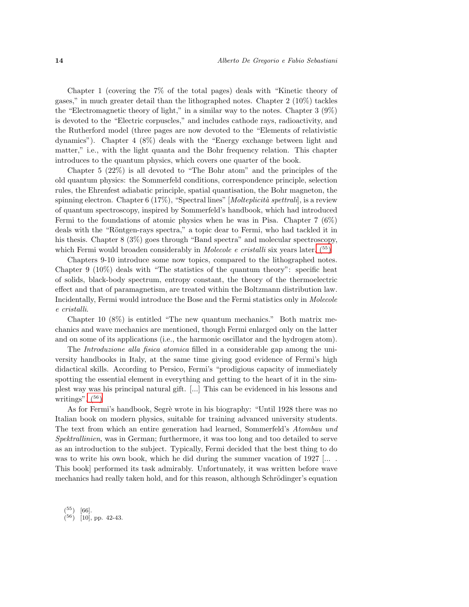Chapter 1 (covering the 7% of the total pages) deals with "Kinetic theory of gases," in much greater detail than the lithographed notes. Chapter 2 (10%) tackles the "Electromagnetic theory of light," in a similar way to the notes. Chapter 3 (9%) is devoted to the "Electric corpuscles," and includes cathode rays, radioactivity, and the Rutherford model (three pages are now devoted to the "Elements of relativistic dynamics"). Chapter 4 (8%) deals with the "Energy exchange between light and matter," i.e., with the light quanta and the Bohr frequency relation. This chapter introduces to the quantum physics, which covers one quarter of the book.

Chapter 5 (22%) is all devoted to "The Bohr atom" and the principles of the old quantum physics: the Sommerfeld conditions, correspondence principle, selection rules, the Ehrenfest adiabatic principle, spatial quantisation, the Bohr magneton, the spinning electron. Chapter 6 (17%), "Spectral lines"  $[Molteplicit\`a \;spettrali]$ , is a review of quantum spectroscopy, inspired by Sommerfeld's handbook, which had introduced Fermi to the foundations of atomic physics when he was in Pisa. Chapter 7 (6%) deals with the "Röntgen-rays spectra," a topic dear to Fermi, who had tackled it in his thesis. Chapter 8 (3%) goes through "Band spectra" and molecular spectroscopy, which Fermi would broaden considerably in *Molecole e cristalli* six years later.  $^{(55)}$ 

Chapters 9-10 introduce some now topics, compared to the lithographed notes. Chapter 9 (10%) deals with "The statistics of the quantum theory": specific heat of solids, black-body spectrum, entropy constant, the theory of the thermoelectric effect and that of paramagnetism, are treated within the Boltzmann distribution law. Incidentally, Fermi would introduce the Bose and the Fermi statistics only in Molecole e cristalli.

Chapter 10 (8%) is entitled "The new quantum mechanics." Both matrix mechanics and wave mechanics are mentioned, though Fermi enlarged only on the latter and on some of its applications (i.e., the harmonic oscillator and the hydrogen atom).

The *Introduzione alla fisica atomica* filled in a considerable gap among the university handbooks in Italy, at the same time giving good evidence of Fermi's high didactical skills. According to Persico, Fermi's "prodigious capacity of immediately spotting the essential element in everything and getting to the heart of it in the simplest way was his principal natural gift. [...] This can be evidenced in his lessons and writings".  $(56)$ 

As for Fermi's handbook, Segrè wrote in his biography: "Until 1928 there was no Italian book on modern physics, suitable for training advanced university students. The text from which an entire generation had learned, Sommerfeld's Atombau und Spektrallinien, was in German; furthermore, it was too long and too detailed to serve as an introduction to the subject. Typically, Fermi decided that the best thing to do was to write his own book, which he did during the summer vacation of  $1927$  [... This book] performed its task admirably. Unfortunately, it was written before wave mechanics had really taken hold, and for this reason, although Schrödinger's equation

<span id="page-13-1"></span><span id="page-13-0"></span> $(55)$  $[66]$ .  $(56)$  [10], pp. 42-43.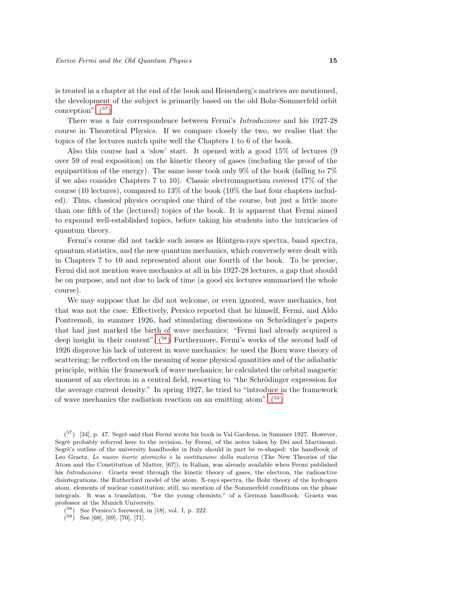is treated in a chapter at the end of the book and Heisenberg's matrices are mentioned, the development of the subject is primarily based on the old Bohr-Sommerfeld orbit conception".  $(57)$ 

There was a fair correspondence between Fermi's Introduzione and his 1927-28 course in Theoretical Physics. If we compare closely the two, we realise that the topics of the lectures match quite well the Chapters 1 to 6 of the book.

Also this course had a 'slow' start. It opened with a good 15% of lectures (9 over 59 of real exposition) on the kinetic theory of gases (including the proof of the equipartition of the energy). The same issue took only 9% of the book (falling to 7% if we also consider Chapters 7 to 10). Classic electromagnetism covered 17% of the course (10 lectures), compared to 13% of the book (10% the last four chapters included). Thus, classical physics occupied one third of the course, but just a little more than one fifth of the (lectured) topics of the book. It is apparent that Fermi aimed to expound well-established topics, before taking his students into the intricacies of quantum theory.

Fermi's course did not tackle such issues as Röntgen-rays spectra, band spectra, quantum statistics, and the new quantum mechanics, which conversely were dealt with in Chapters 7 to 10 and represented about one fourth of the book. To be precise, Fermi did not mention wave mechanics at all in his 1927-28 lectures, a gap that should be on purpose, and not due to lack of time (a good six lectures summarised the whole course).

We may suppose that he did not welcome, or even ignored, wave mechanics, but that was not the case. Effectively, Persico reported that he himself, Fermi, and Aldo Pontremoli, in summer 1926, had stimulating discussions on Schrödinger's papers that had just marked the birth of wave mechanics: "Fermi had already acquired a deep insight in their content"[. \(](#page-14-1)<sup>58</sup>) Furthermore, Fermi's works of the second half of 1926 disprove his lack of interest in wave mechanics: he used the Born wave theory of scattering; he reflected on the meaning of some physical quantities and of the adiabatic principle, within the framework of wave mechanics; he calculated the orbital magnetic moment of an electron in a central field, resorting to "the Schrödinger expression for the average current density." In spring 1927, he tried to "introduce in the framework of wave mechanics the radiation reaction on an emitting atom"[. \(](#page-14-2)<sup>59</sup>)

<span id="page-14-0"></span> $(57)$  [34], p. 47. Segrè said that Fermi wrote his book in Val Gardena, in Summer 1927. However, Segrè probably referred here to the revision, by Fermi, of the notes taken by Dei and Martinozzi. Segrè's outline of the university handbooks in Italy should in part be re-shaped: the handbook of Leo Graetz, Le nuove teorie atomiche e la costituzione della materia (The New Theories of the Atom and the Constitution of Matter, [67]), in Italian, was already available when Fermi published his Introduzione. Graetz went through the kinetic theory of gases, the electron, the radioactive disintegrations, the Rutherford model of the atom, X-rays spectra, the Bohr theory of the hydrogen atom, elements of nuclear constitution; still, no mention of the Sommerfeld conditions on the phase integrals. It was a translation, "for the young chemists," of a German handbook: Graetz was professor at the Munich University.

( <sup>58</sup>) See Persico's foreword, in [18], vol. I, p. 222.

<span id="page-14-2"></span><span id="page-14-1"></span> $(59)$  See [68], [69], [70], [71].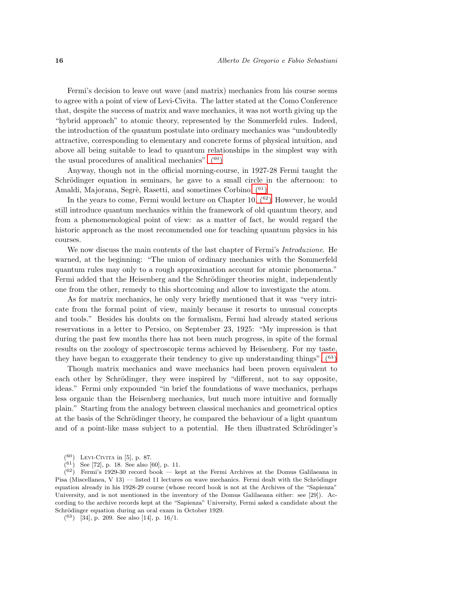Fermi's decision to leave out wave (and matrix) mechanics from his course seems to agree with a point of view of Levi-Civita. The latter stated at the Como Conference that, despite the success of matrix and wave mechanics, it was not worth giving up the "hybrid approach" to atomic theory, represented by the Sommerfeld rules. Indeed, the introduction of the quantum postulate into ordinary mechanics was "undoubtedly attractive, corresponding to elementary and concrete forms of physical intuition, and above all being suitable to lead to quantum relationships in the simplest way with the usual procedures of analitical mechanics".  $(60)$ 

Anyway, though not in the official morning-course, in 1927-28 Fermi taught the Schrödinger equation in seminars, he gave to a small circle in the afternoon: to Amaldi, Majorana, Segrè, Rasetti, and sometimes Corbino.  $(61)$ 

In the years to come, Fermi would lecture on Chapter 10.  $(62)$  However, he would still introduce quantum mechanics within the framework of old quantum theory, and from a phenomenological point of view: as a matter of fact, he would regard the historic approach as the most recommended one for teaching quantum physics in his courses.

We now discuss the main contents of the last chapter of Fermi's *Introduzione*. He warned, at the beginning: "The union of ordinary mechanics with the Sommerfeld quantum rules may only to a rough approximation account for atomic phenomena." Fermi added that the Heisenberg and the Schrödinger theories might, independently one from the other, remedy to this shortcoming and allow to investigate the atom.

As for matrix mechanics, he only very briefly mentioned that it was "very intricate from the formal point of view, mainly because it resorts to unusual concepts and tools." Besides his doubts on the formalism, Fermi had already stated serious reservations in a letter to Persico, on September 23, 1925: "My impression is that during the past few months there has not been much progress, in spite of the formal results on the zoology of spectroscopic terms achieved by Heisenberg. For my taste, they have began to exaggerate their tendency to give up understanding things".  $(63)$ 

Though matrix mechanics and wave mechanics had been proven equivalent to each other by Schrödinger, they were inspired by "different, not to say opposite, ideas." Fermi only expounded "in brief the foundations of wave mechanics, perhaps less organic than the Heisenberg mechanics, but much more intuitive and formally plain." Starting from the analogy between classical mechanics and geometrical optics at the basis of the Schrödinger theory, he compared the behaviour of a light quantum and of a point-like mass subject to a potential. He then illustrated Schrödinger's

<sup>(</sup> <sup>60</sup>) Levi-Civita in [5], p. 87.

<span id="page-15-2"></span><span id="page-15-1"></span><span id="page-15-0"></span> $(61)$  See [72], p. 18. See also [60], p. 11.

 $(62)$  Fermi's 1929-30 record book — kept at the Fermi Archives at the Domus Galilaeana in Pisa (Miscellanea, V 13) — listed 11 lectures on wave mechanics. Fermi dealt with the Schrödinger equation already in his 1928-29 course (whose record book is not at the Archives of the "Sapienza" University, and is not mentioned in the inventory of the Domus Galilaeana either: see [29]). According to the archive records kept at the "Sapienza" University, Fermi asked a candidate about the Schrödinger equation during an oral exam in October 1929.

<span id="page-15-3"></span><sup>(</sup> <sup>63</sup>) [34], p. 209. See also [14], p. 16/1.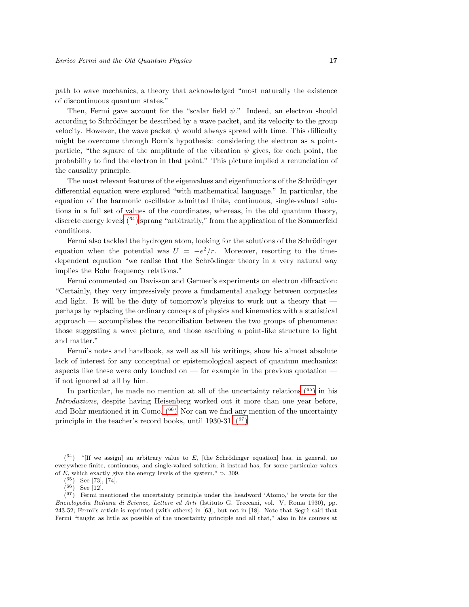path to wave mechanics, a theory that acknowledged "most naturally the existence of discontinuous quantum states."

Then, Fermi gave account for the "scalar field  $\psi$ ." Indeed, an electron should according to Schrödinger be described by a wave packet, and its velocity to the group velocity. However, the wave packet  $\psi$  would always spread with time. This difficulty might be overcome through Born's hypothesis: considering the electron as a pointparticle, "the square of the amplitude of the vibration  $\psi$  gives, for each point, the probability to find the electron in that point." This picture implied a renunciation of the causality principle.

The most relevant features of the eigenvalues and eigenfunctions of the Schrödinger differential equation were explored "with mathematical language." In particular, the equation of the harmonic oscillator admitted finite, continuous, single-valued solutions in a full set of values of the coordinates, whereas, in the old quantum theory, discrete energy level[s \(](#page-16-0)<sup>64</sup>) sprang "arbitrarily," from the application of the Sommerfeld conditions.

Fermi also tackled the hydrogen atom, looking for the solutions of the Schrödinger equation when the potential was  $U = -e^2/r$ . Moreover, resorting to the timedependent equation "we realise that the Schrödinger theory in a very natural way implies the Bohr frequency relations."

Fermi commented on Davisson and Germer's experiments on electron diffraction: "Certainly, they very impressively prove a fundamental analogy between corpuscles and light. It will be the duty of tomorrow's physics to work out a theory that perhaps by replacing the ordinary concepts of physics and kinematics with a statistical approach — accomplishes the reconciliation between the two groups of phenomena: those suggesting a wave picture, and those ascribing a point-like structure to light and matter."

Fermi's notes and handbook, as well as all his writings, show his almost absolute lack of interest for any conceptual or epistemological aspect of quantum mechanics: aspects like these were only touched on — for example in the previous quotation if not ignored at all by him.

In particular, he made no mention at all of the uncertainty relations  $(65)$  $(65)$  $(65)$  in his Introduzione, despite having Heisenberg worked out it more than one year before, and Bohr mentioned it in Como.  $(66)$  Nor can we find any mention of the uncertainty principle in the teacher's record books, until 1930-31.  $(67)$ 

 $(67)$  Fermi mentioned the uncertainty principle under the headword 'Atomo,' he wrote for the Enciclopedia Italiana di Scienze, Lettere ed Arti (Istituto G. Treccani, vol. V, Roma 1930), pp.  $243-52$ ; Fermi's article is reprinted (with others) in  $[63]$ , but not in  $[18]$ . Note that Segrè said that Fermi "taught as little as possible of the uncertainty principle and all that," also in his courses at

 $(64)$  "[If we assign] an arbitrary value to E, [the Schrödinger equation] has, in general, no everywhere finite, continuous, and single-valued solution; it instead has, for some particular values of E, which exactly give the energy levels of the system," p. 309.

<span id="page-16-0"></span> $(65)$  See [73], [74].

<span id="page-16-3"></span><span id="page-16-2"></span><span id="page-16-1"></span> $(66)$  See [12].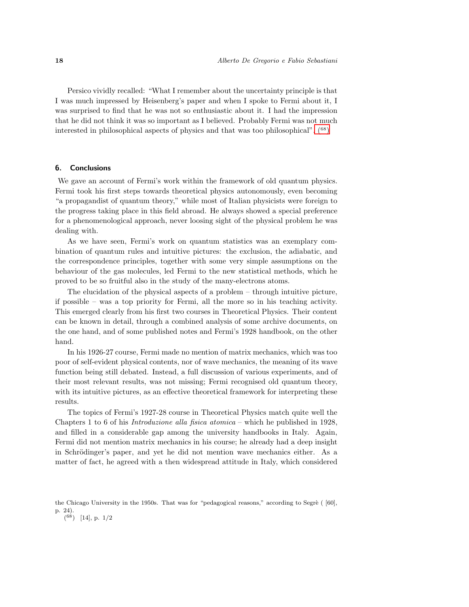Persico vividly recalled: "What I remember about the uncertainty principle is that I was much impressed by Heisenberg's paper and when I spoke to Fermi about it, I was surprised to find that he was not so enthusiastic about it. I had the impression that he did not think it was so important as I believed. Probably Fermi was not much interested in philosophical aspects of physics and that was too philosophical"[. \(](#page-17-0)<sup>68</sup>)

## 6. Conclusions

We gave an account of Fermi's work within the framework of old quantum physics. Fermi took his first steps towards theoretical physics autonomously, even becoming "a propagandist of quantum theory," while most of Italian physicists were foreign to the progress taking place in this field abroad. He always showed a special preference for a phenomenological approach, never loosing sight of the physical problem he was dealing with.

As we have seen, Fermi's work on quantum statistics was an exemplary combination of quantum rules and intuitive pictures: the exclusion, the adiabatic, and the correspondence principles, together with some very simple assumptions on the behaviour of the gas molecules, led Fermi to the new statistical methods, which he proved to be so fruitful also in the study of the many-electrons atoms.

The elucidation of the physical aspects of a problem – through intuitive picture, if possible – was a top priority for Fermi, all the more so in his teaching activity. This emerged clearly from his first two courses in Theoretical Physics. Their content can be known in detail, through a combined analysis of some archive documents, on the one hand, and of some published notes and Fermi's 1928 handbook, on the other hand.

In his 1926-27 course, Fermi made no mention of matrix mechanics, which was too poor of self-evident physical contents, nor of wave mechanics, the meaning of its wave function being still debated. Instead, a full discussion of various experiments, and of their most relevant results, was not missing; Fermi recognised old quantum theory, with its intuitive pictures, as an effective theoretical framework for interpreting these results.

The topics of Fermi's 1927-28 course in Theoretical Physics match quite well the Chapters 1 to 6 of his Introduzione alla fisica atomica – which he published in 1928, and filled in a considerable gap among the university handbooks in Italy. Again, Fermi did not mention matrix mechanics in his course; he already had a deep insight in Schrödinger's paper, and yet he did not mention wave mechanics either. As a matter of fact, he agreed with a then widespread attitude in Italy, which considered

<span id="page-17-0"></span> $(68)$  [14], p. 1/2

the Chicago University in the 1950s. That was for "pedagogical reasons," according to Segrè ( [60], p. 24).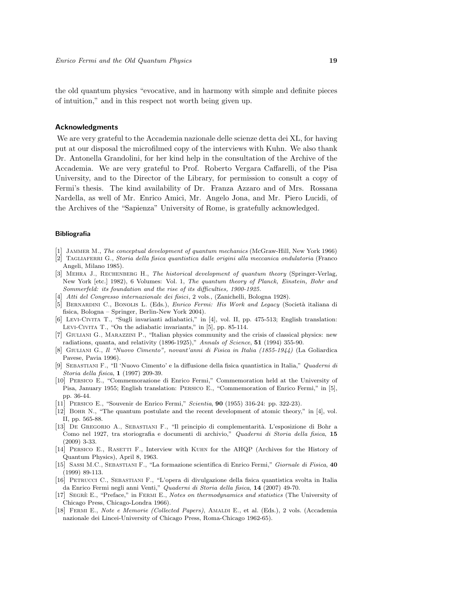the old quantum physics "evocative, and in harmony with simple and definite pieces of intuition," and in this respect not worth being given up.

# Acknowledgments

We are very grateful to the Accademia nazionale delle scienze detta dei XL, for having put at our disposal the microfilmed copy of the interviews with Kuhn. We also thank Dr. Antonella Grandolini, for her kind help in the consultation of the Archive of the Accademia. We are very grateful to Prof. Roberto Vergara Caffarelli, of the Pisa University, and to the Director of the Library, for permission to consult a copy of Fermi's thesis. The kind availability of Dr. Franza Azzaro and of Mrs. Rossana Nardella, as well of Mr. Enrico Amici, Mr. Angelo Jona, and Mr. Piero Lucidi, of the Archives of the "Sapienza" University of Rome, is gratefully acknowledged.

#### Bibliografia

- JAMMER M., The conceptual development of quantum mechanics (McGraw-Hill, New York 1966)
- [2] Tagliaferri G., Storia della fisica quantistica dalle origini alla meccanica ondulatoria (Franco Angeli, Milano 1985).
- [3] Mehra J., Rechenberg H., The historical development of quantum theory (Springer-Verlag, New York [etc.] 1982), 6 Volumes: Vol. 1, The quantum theory of Planck, Einstein, Bohr and Sommerfeld: its foundation and the rise of its difficulties, 1900-1925.
- [4] Atti del Congresso internazionale dei fisici, 2 vols., (Zanichelli, Bologna 1928).
- [5] BERNARDINI C., BONOLIS L. (Eds.), *Enrico Fermi: His Work and Legacy* (Società italiana di fisica, Bologna – Springer, Berlin-New York 2004).
- [6] Levi-Civita T., "Sugli invarianti adiabatici," in [4], vol. II, pp. 475-513; English translation: Levi-Civita T., "On the adiabatic invariants," in [5], pp. 85-114.
- [7] Giuliani G., Marazzini P., "Italian physics community and the crisis of classical physics: new radiations, quanta, and relativity (1896-1925)," Annals of Science, 51 (1994) 355-90.
- [8] Giuliani G., Il "Nuovo Cimento", novant'anni di Fisica in Italia (1855-1944) (La Goliardica Pavese, Pavia 1996).
- [9] Sebastiani F., "Il 'Nuovo Cimento' e la diffusione della fisica quantistica in Italia," Quaderni di Storia della fisica, 1 (1997) 209-39.
- [10] Persico E., "Commemorazione di Enrico Fermi," Commemoration held at the University of Pisa, January 1955; English translation: Persico E., "Commemoration of Enrico Fermi," in [5], pp. 36-44.
- [11] Persico E., "Souvenir de Enrico Fermi," Scientia, 90 (1955) 316-24: pp. 322-23).
- [12] Bohr N., "The quantum postulate and the recent development of atomic theory," in [4], vol. II, pp. 565-88.
- [13] DE GREGORIO A., SEBASTIANI F., "Il principio di complementarità. L'esposizione di Bohr a Como nel 1927, tra storiografia e documenti di archivio," Quaderni di Storia della fisica, 15 (2009) 3-33.
- [14] Persico E., Rasetti F., Interview with Kuhn for the AHQP (Archives for the History of Quantum Physics), April 8, 1963.
- [15] Sassi M.C., Sebastiani F., "La formazione scientifica di Enrico Fermi," Giornale di Fisica, 40 (1999) 89-113.
- [16] Petrucci C., Sebastiani F., "L'opera di divulgazione della fisica quantistica svolta in Italia da Enrico Fermi negli anni Venti," Quaderni di Storia della fisica, 14 (2007) 49-70.
- [17] SEGRÈ E., "Preface," in FERMI E., Notes on thermodynamics and statistics (The University of Chicago Press, Chicago-Londra 1966).
- [18] Fermi E., Note e Memorie (Collected Papers), Amaldi E., et al. (Eds.), 2 vols. (Accademia nazionale dei Lincei-University of Chicago Press, Roma-Chicago 1962-65).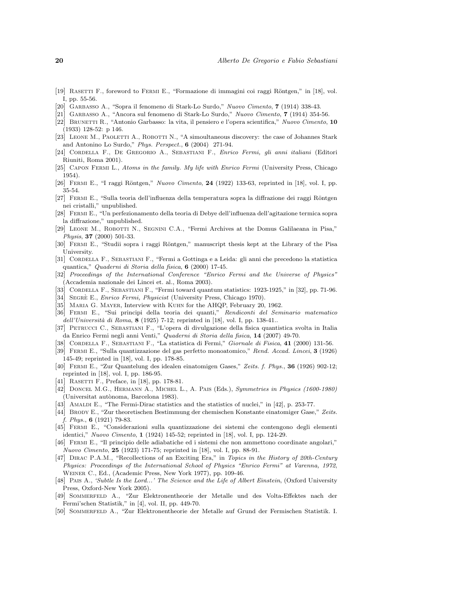- [19] RASETTI F., foreword to FERMI E., "Formazione di immagini coi raggi Röntgen," in [18], vol. I, pp. 55-56.
- [20] Garbasso A., "Sopra il fenomeno di Stark-Lo Surdo," Nuovo Cimento, 7 (1914) 338-43.
- [21] Garbasso A., "Ancora sul fenomeno di Stark-Lo Surdo," Nuovo Cimento, 7 (1914) 354-56.
- [22] Brunetti R., "Antonio Garbasso: la vita, il pensiero e l'opera scientifica," Nuovo Cimento, 10 (1933) 128-52: p 146.
- [23] Leone M., Paoletti A., Robotti N., "A simoultaneous discovery: the case of Johannes Stark and Antonino Lo Surdo," Phys. Perspect., 6 (2004) 271-94.
- <span id="page-19-0"></span>[24] Cordella F., De Gregorio A., Sebastiani F., Enrico Fermi, gli anni italiani (Editori Riuniti, Roma 2001).
- [25] Capon Fermi L., Atoms in the family. My life with Enrico Fermi (University Press, Chicago 1954).
- [26] FERMI E., "I raggi Röntgen," *Nuovo Cimento*, **24** (1922) 133-63, reprinted in [18], vol. I, pp. 35-54.
- [27] FERMI E., "Sulla teoria dell'influenza della temperatura sopra la diffrazione dei raggi Röntgen nei cristalli," unpublished.
- [28] Fermi E., "Un perfezionamento della teoria di Debye dell'influenza dell'agitazione termica sopra la diffrazione," unpublished.
- [29] Leone M., Robotti N., Segnini C.A., "Fermi Archives at the Domus Galilaeana in Pisa," Physis, 37 (2000) 501-33.
- [30] FERMI E., "Studii sopra i raggi Röntgen," manuscript thesis kept at the Library of the Pisa University.
- [31] Cordella F., Sebastiani F., "Fermi a Gottinga e a Leida: gli anni che precedono la statistica quantica," Quaderni di Storia della fisica, 6 (2000) 17-45.
- [32] Proceedings of the International Conference "Enrico Fermi and the Universe of Physics" (Accademia nazionale dei Lincei et. al., Roma 2003).
- [33] CORDELLA F., SEBASTIANI F., "Fermi toward quantum statistics: 1923-1925," in [32], pp. 71-96.
- [34] SEGRÈ E., *Enrico Fermi, Physicist* (University Press, Chicago 1970).
- [35] MARIA G. MAYER, Interview with KUHN for the AHQP, February 20, 1962.
- [36] Fermi E., "Sui principi della teoria dei quanti," Rendiconti del Seminario matematico dell'Università di Roma, 8 (1925) 7-12; reprinted in [18], vol. I, pp. 138-41..
- [37] Petrucci C., Sebastiani F., "L'opera di divulgazione della fisica quantistica svolta in Italia da Enrico Fermi negli anni Venti," Quaderni di Storia della fisica, 14 (2007) 49-70.
- [38] Cordella F., Sebastiani F., "La statistica di Fermi," Giornale di Fisica, 41 (2000) 131-56.
- [39] Fermi E., "Sulla quantizzazione del gas perfetto monoatomico," Rend. Accad. Lincei, 3 (1926) 145-49; reprinted in [18], vol. I, pp. 178-85.
- [40] Fermi E., "Zur Quantelung des idealen einatomigen Gases," Zeits. f. Phys., 36 (1926) 902-12; reprinted in [18], vol. I, pp. 186-95.
- [41] RASETTI F., Preface, in [18], pp. 178-81.
- [42] Doncel M.G., Hermann A., Michel L., A. Pais (Eds.), Symmetries in Physics (1600-1980) (Universitat autònoma, Barcelona 1983).
- [43] AMALDI E., "The Fermi-Dirac statistics and the statistics of nuclei," in [42], p. 253-77.
- [44] Brody E., "Zur theoretischen Bestimmung der chemischen Konstante einatomiger Gase," Zeits.  $f. Phys., 6 (1921) 79-83.$
- [45] Fermi E., "Considerazioni sulla quantizzazione dei sistemi che contengono degli elementi identici," Nuovo Cimento, 1 (1924) 145-52; reprinted in [18], vol. I, pp. 124-29.
- [46] Fermi E., "Il principio delle adiabatiche ed i sistemi che non ammettono coordinate angolari," Nuovo Cimento, 25 (1923) 171-75; reprinted in [18], vol. I, pp. 88-91.
- [47] DIRAC P.A.M., "Recollections of an Exciting Era," in Topics in the History of 20th-Century Physics: Proceedings of the International School of Physics "Enrico Fermi" at Varenna, 1972, Weiner C., Ed., (Academic Press, New York 1977), pp. 109-46.
- [48] PAIS A., 'Subtle Is the Lord...' The Science and the Life of Albert Einstein, (Oxford University Press, Oxford-New York 2005).
- [49] Sommerfeld A., "Zur Elektronentheorie der Metalle und des Volta-Effektes nach der Fermi'schen Statistik," in [4], vol. II, pp. 449-70.
- [50] Sommerfeld A., "Zur Elektronentheorie der Metalle auf Grund der Fermischen Statistik. I.